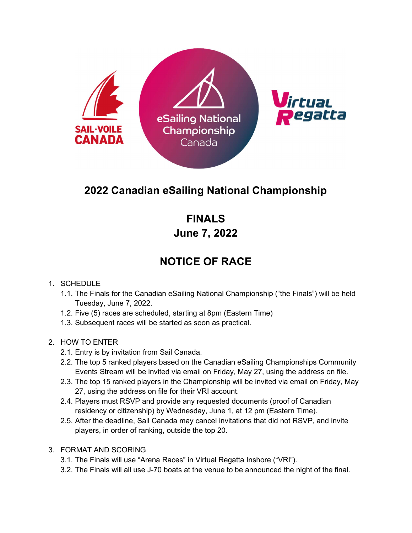

## 2022 Canadian eSailing National Championship

FINALS June 7, 2022

## NOTICE OF RACE

## 1. SCHEDULE

- 1.1. The Finals for the Canadian eSailing National Championship ("the Finals") will be held Tuesday, June 7, 2022.
- 1.2. Five (5) races are scheduled, starting at 8pm (Eastern Time)
- 1.3. Subsequent races will be started as soon as practical.

## 2. HOW TO ENTER

- 2.1. Entry is by invitation from Sail Canada.
- 2.2. The top 5 ranked players based on the Canadian eSailing Championships Community Events Stream will be invited via email on Friday, May 27, using the address on file.
- 2.3. The top 15 ranked players in the Championship will be invited via email on Friday, May 27, using the address on file for their VRI account.
- 2.4. Players must RSVP and provide any requested documents (proof of Canadian residency or citizenship) by Wednesday, June 1, at 12 pm (Eastern Time).
- 2.5. After the deadline, Sail Canada may cancel invitations that did not RSVP, and invite players, in order of ranking, outside the top 20.
- 3. FORMAT AND SCORING
	- 3.1. The Finals will use "Arena Races" in Virtual Regatta Inshore ("VRI").
	- 3.2. The Finals will all use J-70 boats at the venue to be announced the night of the final.